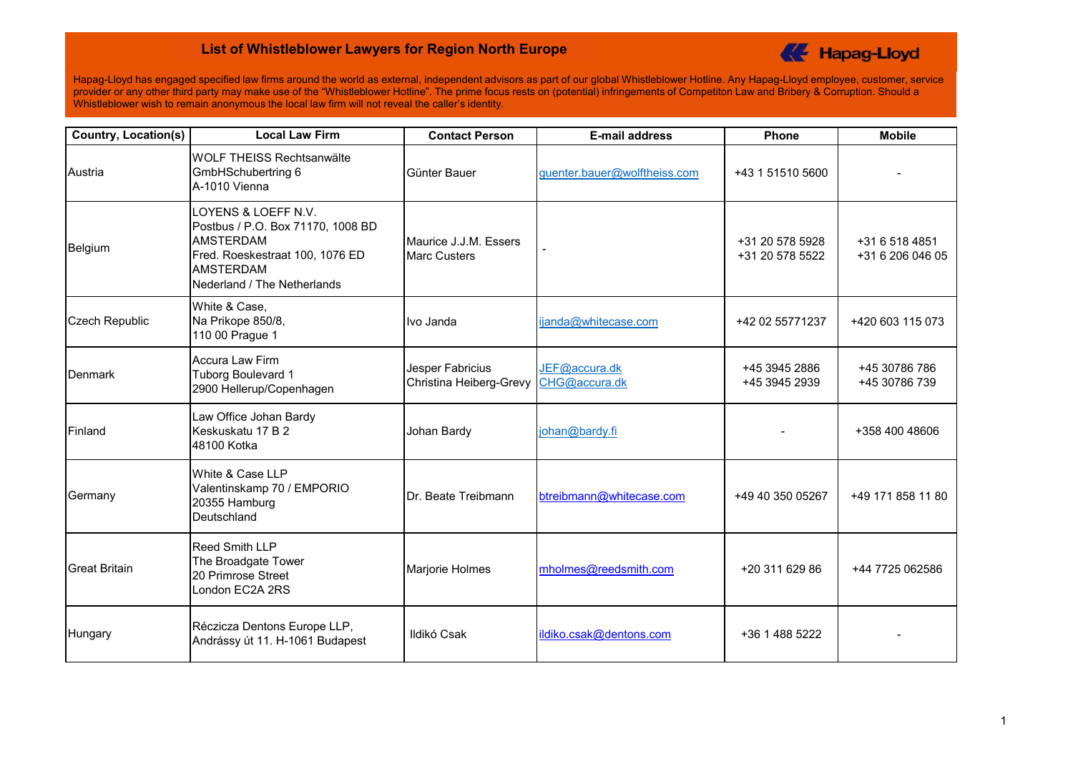## **List of Whistleblower Lawyers for Region North Europe**



Hapag-Lloyd has engaged specified law firms around the world as external, independent advisors as part of our global Whistleblower Hotline. Any Hapag-Lloyd employee, customer, service provider or any other third party may make use of the "Whistleblower Hotline". The prime focus rests on (potential) infringements of Competiton Law and Bribery & Corruption. Should a Whistleblower wish to remain anonymous the local law firm will not reveal the caller's identity.

| <b>Country, Location(s)</b> | <b>Local Law Firm</b>                                                                                                                                              | <b>Contact Person</b>                        | <b>E-mail address</b>          | <b>Phone</b>                       | <b>Mobile</b>                      |
|-----------------------------|--------------------------------------------------------------------------------------------------------------------------------------------------------------------|----------------------------------------------|--------------------------------|------------------------------------|------------------------------------|
| Austria                     | <b>WOLF THEISS Rechtsanwälte</b><br>GmbHSchubertring 6<br>A-1010 Vienna                                                                                            | Günter Bauer                                 | guenter.bauer@wolftheiss.com   | +43 1 51510 5600                   |                                    |
| Belgium                     | LOYENS & LOEFF N.V.<br>Postbus / P.O. Box 71170, 1008 BD<br><b>AMSTERDAM</b><br>Fred. Roeskestraat 100, 1076 ED<br><b>AMSTERDAM</b><br>Nederland / The Netherlands | Maurice J.J.M. Essers<br><b>Marc Custers</b> |                                | +31 20 578 5928<br>+31 20 578 5522 | +31 6 518 4851<br>+31 6 206 046 05 |
| <b>Czech Republic</b>       | White & Case,<br>Na Prikope 850/8,<br>110 00 Prague 1                                                                                                              | Ivo Janda                                    | ijanda@whitecase.com           | +42 02 55771237                    | +420 603 115 073                   |
| Denmark                     | <b>Accura Law Firm</b><br>Tuborg Boulevard 1<br>2900 Hellerup/Copenhagen                                                                                           | Jesper Fabricius<br>Christina Heiberg-Grevy  | JEF@accura.dk<br>CHG@accura.dk | +45 3945 2886<br>+45 3945 2939     | +45 30786 786<br>+45 30786 739     |
| Finland                     | Law Office Johan Bardy<br>Keskuskatu 17 B 2<br>48100 Kotka                                                                                                         | Johan Bardy                                  | johan@bardy.fi                 |                                    | +358 400 48606                     |
| Germany                     | White & Case LLP<br>Valentinskamp 70 / EMPORIO<br>20355 Hamburg<br>Deutschland                                                                                     | Dr. Beate Treibmann                          | btreibmann@whitecase.com       | +49 40 350 05267                   | +49 171 858 11 80                  |
| <b>Great Britain</b>        | Reed Smith LLP<br>The Broadgate Tower<br>20 Primrose Street<br>London EC2A 2RS                                                                                     | Marjorie Holmes                              | mholmes@reedsmith.com          | +20 311 629 86                     | +44 7725 062586                    |
| Hungary                     | Réczicza Dentons Europe LLP,<br>Andrássy út 11. H-1061 Budapest                                                                                                    | Ildikó Csak                                  | ildiko.csak@dentons.com        | +36 1 488 5222                     |                                    |